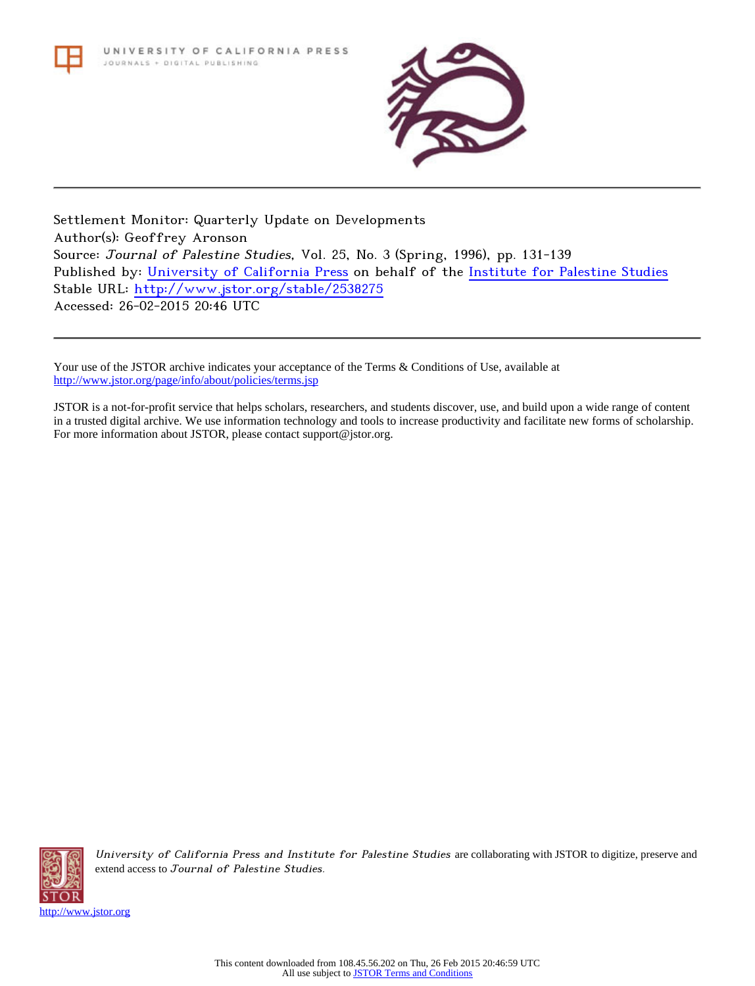

Settlement Monitor: Quarterly Update on Developments Author(s): Geoffrey Aronson Source: Journal of Palestine Studies, Vol. 25, No. 3 (Spring, 1996), pp. 131-139 Published by: [University of California Press](http://www.jstor.org/action/showPublisher?publisherCode=ucal) on behalf of the [Institute for Palestine Studies](http://www.jstor.org/action/showPublisher?publisherCode=palstud) Stable URL: <http://www.jstor.org/stable/2538275> Accessed: 26-02-2015 20:46 UTC

Your use of the JSTOR archive indicates your acceptance of the Terms & Conditions of Use, available at <http://www.jstor.org/page/info/about/policies/terms.jsp>

JSTOR is a not-for-profit service that helps scholars, researchers, and students discover, use, and build upon a wide range of content in a trusted digital archive. We use information technology and tools to increase productivity and facilitate new forms of scholarship. For more information about JSTOR, please contact support@jstor.org.



University of California Press and Institute for Palestine Studies are collaborating with JSTOR to digitize, preserve and extend access to Journal of Palestine Studies.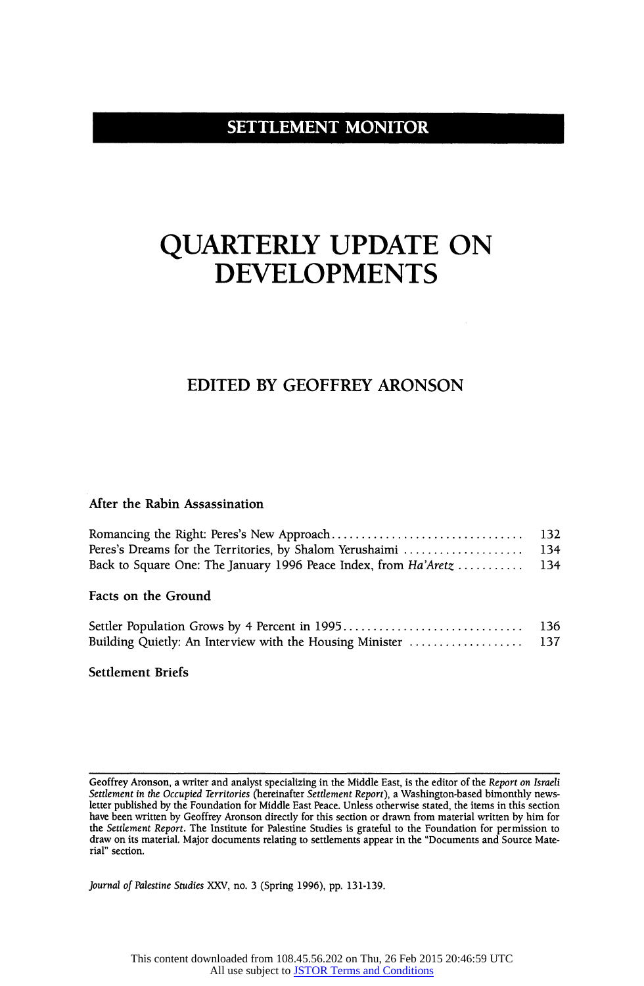# **SETTLEMENT MONITOR**

# QUARTERLY UPDATE ON DEVELOPMENTS

# EDITED BY GEOFFREY ARONSON

# After the Rabin Assassination

| Peres's Dreams for the Territories, by Shalom Yerushaimi  134 |  |
|---------------------------------------------------------------|--|
|                                                               |  |
|                                                               |  |

# Facts on the Ground

|                                                          | 136 |
|----------------------------------------------------------|-----|
| Building Quietly: An Interview with the Housing Minister | 137 |

Settlement Briefs

Journal of Palestine Studies XXV, no. 3 (Spring 1996), pp. 131-139.

Geoffrey Aronson, a writer and analyst specializing in the Middle East, is the editor of the Report on Israeli Settlement in the Occupied Territories (hereinafter Settlement Report), a Washington-based bimonthly newsletter published by the Foundation for Middle East Peace. Unless otherwise stated, the items in this section have been written by Geoffrey Aronson directly for this section or drawn from material written by him for the Settlement Report. The Institute for Palestine Studies is grateful to the Foundation for permission to draw on its material. Major documents relating to settlements appear in the "Documents and Source Material" section.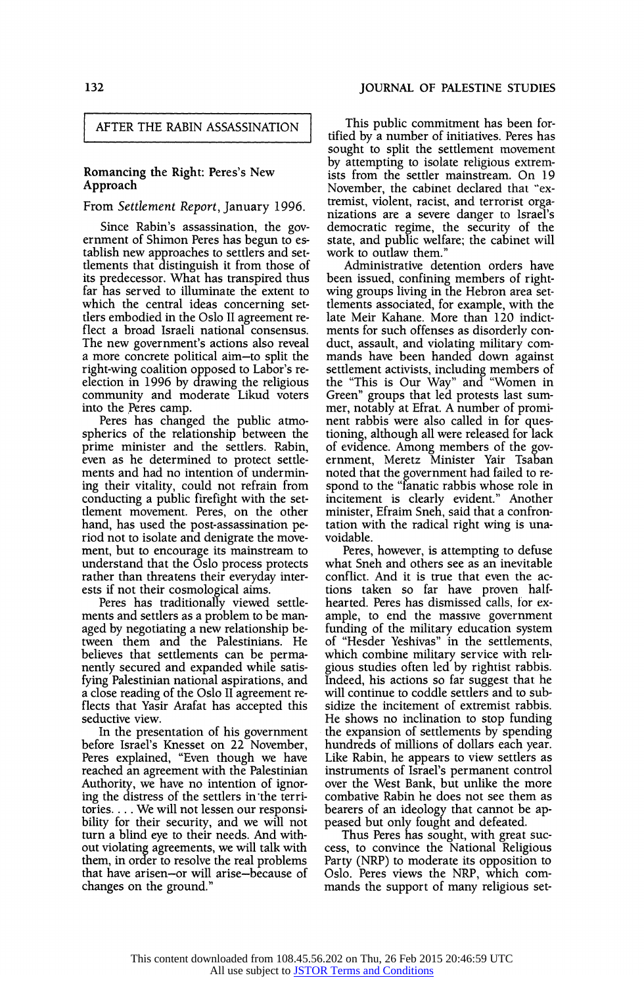#### AFTER THE RABIN ASSASSINATION

#### Romancing the Right: Peres's New Approach

#### From Settlement Report, January 1996.

Since Rabin's assassination, the government of Shimon Peres has begun to establish new approaches to settlers and settlements that distinguish it from those of its predecessor. What has transpired thus far has served to illuminate the extent to which the central ideas concerning settlers embodied in the Oslo II agreement reflect a broad Israeli national consensus. The new government's actions also reveal a more concrete political aim-to split the right-wing coalition opposed to Labor's reelection in 1996 by drawing the religious community and moderate Likud voters into the Peres camp.

Peres has changed the public atmospherics of the relationship between the prime minister and the settlers. Rabin, even as he determined to protect settlements and had no intention of undermining their vitality, could not refrain from conducting a public firefight with the settlement movement. Peres, on the other hand, has used the post-assassination period not to isolate and denigrate the movement, but to encourage its mainstream to understand that the Oslo process protects rather than threatens their everyday interests if not their cosmological aims.

Peres has traditionally viewed settlements and settlers as a problem to be managed by negotiating a new relationship between them and the Palestinians. He believes that settlements can be permanently secured and expanded while satisfying Palestinian national aspirations, and a close reading of the Oslo II agreement reflects that Yasir Arafat has accepted this seductive view.

In the presentation of his government before Israel's Knesset on 22 November, Peres explained, "Even though we have reached an agreement with the Palestinian Authority, we have no intention of ignoring the distress of the settlers in the territories.... We will not lessen our responsibility for their security, and we will not turn a blind eye to their needs. And without violating agreements, we will talk with them, in order to resolve the real problems that have arisen-or will arise-because of changes on the ground."

This public commitment has been fortified by a number of initiatives. Peres has sought to split the settlement movement by attempting to isolate religious extremists from the settler mainstream. On 19 November, the cabinet declared that "extremist, violent, racist, and terrorist organizations are a severe danger to Israel's democratic regime, the security of the state, and public welfare; the cabinet will work to outlaw them.'

Administrative detention orders have been issued, confining members of rightwing groups living in the Hebron area settlements associated, for example, with the late Meir Kahane. More than 120 indictments for such offenses as disorderly conduct, assault, and violating military commands have been handed down against settlement activists, including members of the "This is Our Way" and "Women in Green" groups that led protests last summer, notably at Efrat. A number of prominent rabbis were also called in for questioning, although all were released for lack of evidence. Among members of the government, Meretz Minister Yair Tsaban noted that the government had failed to respond to the "fanatic rabbis whose role in incitement is clearly evident." Another minister, Efraim Sneh, said that a confrontation with the radical right wing is unavoidable.

Peres, however, is attempting to defuse what Sneh and others see as an inevitable conflict. And it is true that even the actions taken so far have proven halfhearted. Peres has dismissed calls, tor example, to end the massive government funding of the military education system of "Hesder Yeshivas" in the settlements, which combine military service with religious studies often led by rightist rabbis. Indeed, his actions so far suggest that he will continue to coddle settlers and to subsidize the incitement of extremist rabbis. He shows no inclination to stop funding the expansion of settlements by spending hundreds of millions of dollars each year. Like Rabin, he appears to view settlers as instruments of Israel's permanent control over the West Bank, but unlike the more combative Rabin he does not see them as bearers of an ideology that cannot be appeased but only fought and defeated.

Thus Peres has sought, with great success, to convince the National Religious Party (NRP) to moderate its opposition to Oslo. Peres views the NRP, which commands the support of many religious set-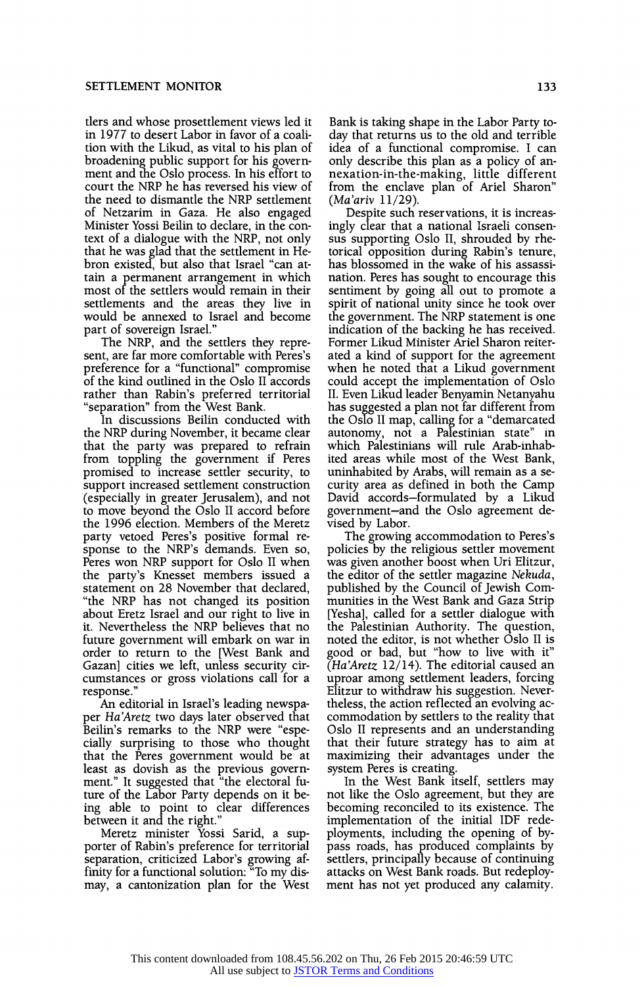tlers and whose prosettlement views led it in 1977 to desert Labor in favor of a coalition with the Likud, as vital to his plan of broadening public support for his government and the Oslo process. In his effort to court the NRP he has reversed his view of the need to dismantle the NRP settlement of Netzarim in Gaza. He also engaged Minister Yossi Beilin to declare, in the context of a dialogue with the NRP, not only that he was glad that the settlement in Hebron existed, but also that Israel "can attain a permanent arrangement in which most of the settlers would remain in their settlements and the areas they live in would be annexed to Israel and become part of sovereign Israel."

The NRP, and the settlers they represent, are far more comfortable with Peres's preference for a "functional" compromise of the kind outlined in the Oslo II accords rather than Rabin's preferred territorial "separation" from the West Bank.

In discussions Beilin conducted with the NRP during November, it became clear that the party was prepared to refrain from toppling the government if Peres promised to increase settler security, to support increased settlement construction (especially in greater Jerusalem), and not to move beyond the Oslo II accord before the 1996 election. Members of the Meretz party vetoed Peres's positive formal response to the NRP's demands. Even so, Peres won NRP support for Oslo II when the party's Knesset members issued a statement on 28 November that declared, "the NRP has not changed its position about Eretz Israel and our right to live in it. Nevertheless the NRP believes that no future government will embark on war in order to return to the [West Bank and Gazan] cities we left, unless security circumstances or gross violations call for a response."

An editorial in Israel's leading newspaper Ha'Aretz two days later observed that Beilin's remarks to the NRP were "especially surprising to those who thought that the Peres government would be at least as dovish as the previous government." It suggested that "the electoral future of the Labor Party depends on it being able to point to clear differences between it and the right."

Meretz minister Yossi Sarid, a supporter of Rabin's preference for territorial separation, criticized Labor's growing affinity for a functional solution: "To my dismay, a cantonization plan for the West

Bank is taking shape in the Labor Party today that returns us to the old and terrible idea of a functional compromise. I can only describe this plan as a policy of annexation-in-the-making, little different from the enclave plan of Ariel Sharon" (Ma'ariv 11/29).

Despite such reservations, it is increasingly clear that a national Israeli consensus supporting Oslo II, shrouded by rhetorical opposition during Rabin's tenure, has blossomed in the wake of his assassination. Peres has sought to encourage this sentiment by going all out to promote a spirit of national unity since he took over the government. The NRP statement is one indication of the backing he has received. Former Likud Minister Ariel Sharon reiterated a kind of support for the agreement when he noted that a Likud government could accept the implementation of Oslo II. Even Likud leader Benyamin Netanyahu has sugested a plan not far different from the Oslo II map, calling for a "demarcated" autonomy, not a Palestinian state" in which Palestinians will rule Arab-inhabited areas while most of the West Bank, uninhabited by Arabs, will remain as a security area as defined in both the Camp David accords-formulated by a Likud government-and the Oslo agreement devised by Labor.

The growing accommodation to Peres's policies by the religious settler movement was given another boost when Uri Elitzur, the editor of the settler magazine Nekuda, published by the Council of Jewish Communities in the West Bank and Gaza Strip [Yesha], called for a settler dialogue with the Palestinian Authority. The question, noted the editor, is not whether Oslo II is good or bad, but "how to live with it"  $\bar{A}$ Ha'Aretz 12/14). The editorial caused an uproar among settlement leaders, forcing Elitzur to withdraw his suggestion. Nevertheless, the action reflected an evolving accommodation by settlers to the reality that Oslo II represents and an understanding that their future strategy has to aim at maximizing their advantages under the system Peres is creating.

In the West Bank itself, settlers may not like the Oslo agreement, but they are becoming reconciled to its existence. The implementation of the initial IDF redeployments, including the opening of bypass roads, has produced complaints by settlers, principally because of continuing attacks on West Bank roads. But redeployment has not yet produced any calamity.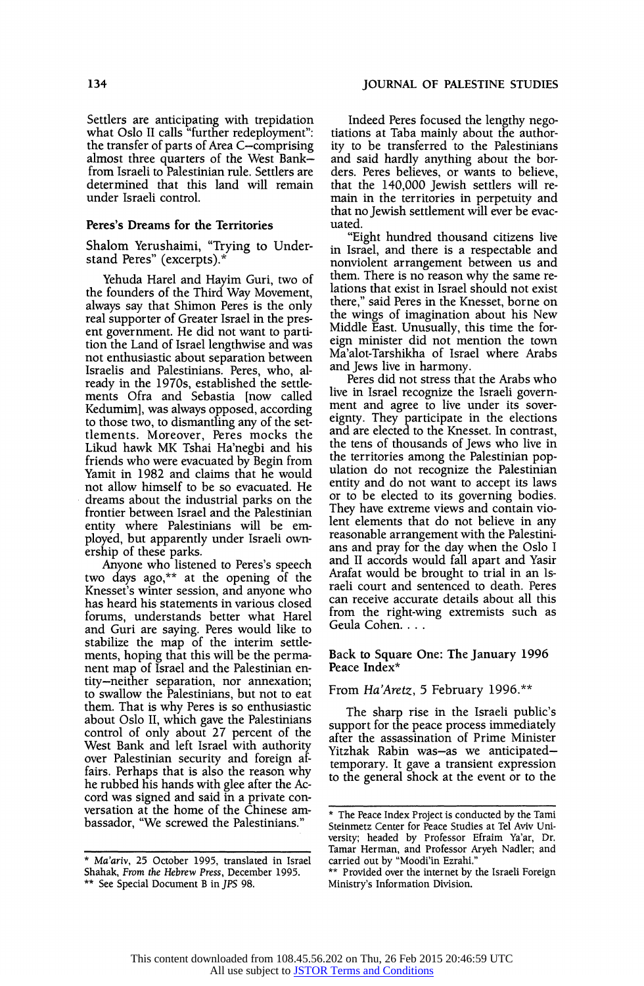Settlers are anticipating with trepidation what Oslo II calls "further redeployment": the transfer of parts of Area C-comprising almost three quarters of the West Bankfrom Israeli to Palestinian rule. Settlers are determined that this land will remain under Israeli control.

#### Peres's Dreams for the Territories

Shalom Yerushaimi, "Trying to Understand Peres" (excerpts).\*

Yehuda Harel and Hayim Guri, two of the founders of the Third Way Movement, always say that Shimon Peres is the only real supporter of Greater Israel in the present government. He did not want to partition the Land of Israel lengthwise and was not enthusiastic about separation between Israelis and Palestinians. Peres, who, already in the 1970s, established the settlements Ofra and Sebastia [now called Kedumim], was always opposed, according to those two, to dismantling any of the settlements. Moreover, Peres mocks the Likud hawk MK Tshai Ha'negbi and his friends who were evacuated by Begin from Yamit in 1982 and claims that he would not allow himself to be so evacuated. He dreams about the industrial parks on the frontier between Israel and the Palestinian entity where Palestinians will be employed, but apparently under Israeli ownership of these parks.

Anyone who listened to Peres's speech two days ago,\*\* at the opening of the Knesset's winter session, and anyone who has heard his statements in various closed forums, understands better what Harel and Guri are saying. Peres would like to stabilize the map of the interim settlements, hoping that this will be the permanent map of Israel and the Palestinian entity-neither separation, nor annexation; to swallow the Palestinians, but not to eat them. That is why Peres is so enthusiastic about Oslo II, which gave the Palestinians control of only about 27 percent of the West Bank and left Israel with authority over Palestinian security and foreign affairs. Perhaps that is also the reason why he rubbed his hands with glee after the Accord was signed and said in a private conversation at the home of the Chinese ambassador, "We screwed the Palestinians."

Indeed Peres focused the lengthy negotiations at Taba mainly about the authority to be transferred to the Palestinians and said hardly anything about the borders. Peres believes, or wants to believe, that the 140,000 Jewish settlers will remain in the territories in perpetuity and that no Jewish settlement will ever be evacuated.

"Eight hundred thousand citizens live in Israel, and there is a respectable and nonviolent arrangement between us and them. There is no reason why the same relations that exist in Israel should not exist there," said Peres in the Knesset, borne on the wings of imagination about his New Middle East. Unusually, this time the foreign minister did not mention the town Ma'alot-Tarshikha of Israel where Arabs and Jews live in harmony.

Peres did not stress that the Arabs who live in Israel recognize the Israeli government and agree to live under its sovereignty. They participate in the elections and are elected to the Knesset. In contrast, the tens of thousands of Jews who live in the territories among the Palestinian population do not recognize the Palestinian entity and do not want to accept its laws or to be elected to its governing bodies. They have extreme views and contain violent elements that do not believe in any reasonable arrangement with the Palestinians and pray for the day when the Oslo I and II accords would fall apart and Yasir Arafat would be brought to trial in an Israeli court and sentenced to death. Peres can receive accurate details about all this from the right-wing extremists such as Geula Cohen....

Back to Square One: The January 1996 Peace Index\*

From Ha'Aretz, 5 February 1996.\*\*

The sharp rise in the Israeli public's support for the peace process immediately after the assassination of Prime Minister Yitzhak Rabin was-as we anticipatedtemporary. It gave a transient expression to the general shock at the event or to the

<sup>\*</sup> Ma'ariv, 25 October 1995, translated in Israel Shahak, From the Hebrew Press, December 1995. \*\* See Special Document B in JPS 98.

<sup>\*</sup> The Peace Index Project is conducted by the Tami Steinmetz Center for Peace Studies at Tel Aviv University; headed by Professor Efraim Ya'ar, Dr. Tamar Herman, and Professor Aryeh Nadler; and carried out by "Moodi'in Ezrahi."

<sup>\*\*</sup> Provided over the internet by the Israeli Foreign Ministry's Information Division.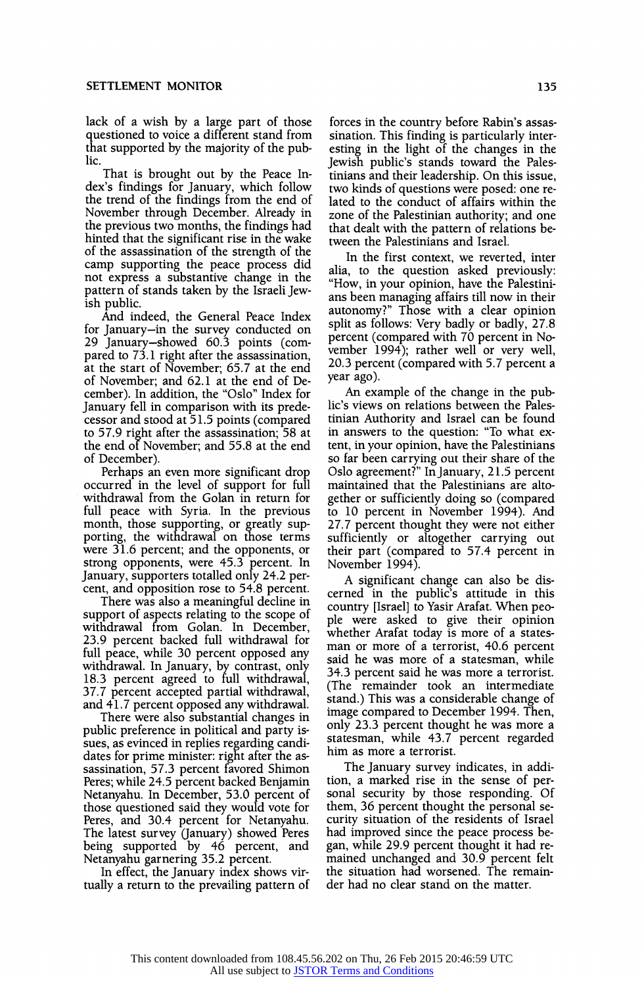lack of a wish by a large part of those questioned to voice a different stand from that supported by the majority of the public.

That is brought out by the Peace Index's findings for January, which follow the trend of the findings from the end of November through December. Already in the previous two months, the findings had hinted that the significant rise in the wake of the assassination of the strength of the camp supporting the peace process did not express a substantive change in the pattern of stands taken by the Israeli Jewish public.

And indeed, the General Peace Index for January-in the survey conducted on 29 January-showed 60.3 points (compared to 73.1 right after the assassination, at the start of November; 65.7 at the end of November; and 62.1 at the end of December). In addition, the "Oslo" Index for January fell in comparison with its predecessor and stood at 51.5 points (compared to 57.9 right after the assassination; 58 at the end of November; and 55.8 at the end of December).

Perhaps an even more significant drop occurred in the level of support for full withdrawal from the Golan in return for full peace with Syria. In the previous month, those supporting, or greatly supporting, the withdrawal on those terms were 31.6 percent; and the opponents, or strong opponents, were 45.3 percent. In January, supporters totalled only 24.2 percent, and opposition rose to 54.8 percent.

There was also a meaningful decline in support of aspects relating to the scope of withdrawal from Golan. In December, 23.9 percent backed full withdrawal for full peace, while 30 percent opposed any withdrawal. In January, by contrast, only 18.3 percent agreed to full withdrawal, 37.7 percent accepted partial withdrawal, and 41.7 percent opposed any withdrawal.

There were also substantial changes in public preference in political and party issues, as evinced in replies regarding candidates for prime minister: right after the assassination, 57.3 percent favored Shimon Peres; while 24.5 percent backed Benjamin Netanyahu. In December, 53.0 percent of those questioned said they would vote for Peres, and 30.4 percent for Netanyahu. The latest survey (January) showed Peres being supported by 46 percent, and Netanyahu garnering 35.2 percent.

In effect, the January index shows virtually a return to the prevailing pattern of forces in the country before Rabin's assassination. This finding is particularly interesting in the light of the changes in the Jewish public's stands toward the Palestinians and their leadership. On this issue, two kinds of questions were posed: one related to the conduct of affairs within the zone of the Palestinian authority; and one that dealt with the pattern of relations between the Palestinians and Israel.

In the first context, we reverted, inter alia, to the question asked previously: "How, in your opinion, have the Palestinians been managing affairs till now in their autonomy?" Those with a clear opinion split as follows: Very badly or badly, 27.8 percent (compared with 70 percent in November 1994); rather well or very well, 20.3 percent (compared with 5.7 percent a year ago).

An example of the change in the public's views on relations between the Palestinian Authority and Israel can be found in answers to the question: "To what extent, in your opinion, have the Palestinians so far been carrying out their share of the Oslo agreement?" InJanuary, 21.5 percent maintained that the Palestinians are altogether or sufficiently doing so (compared to 10 percent in November 1994). And 27.7 percent thought they were not either sufficiently or altogether carrying out their part (compared to 57.4 percent in November 1994).

A significant change can also be discerned in the public's attitude in this country [Israel] to Yasir Arafat. When people were asked to give their opinion whether Arafat today is more of a statesman or more of a terrorist, 40.6 percent said he was more of a statesman, while 34.3 percent said he was more a terrorist. (The remainder took an intermediate stand.) This was a considerable change of image compared to December 1994. Then, only 23.3 percent thought he was more a statesman, while 43.7 percent regarded him as more a terrorist.

The January survey indicates, in addition, a marked rise in the sense of personal security by those responding. Of them, 36 percent thought the personal security situation of the residents of Israel had improved since the peace process began, while 29.9 percent thought it had remained unchanged and 30.9 percent felt the situation had worsened. The remainder had no clear stand on the matter.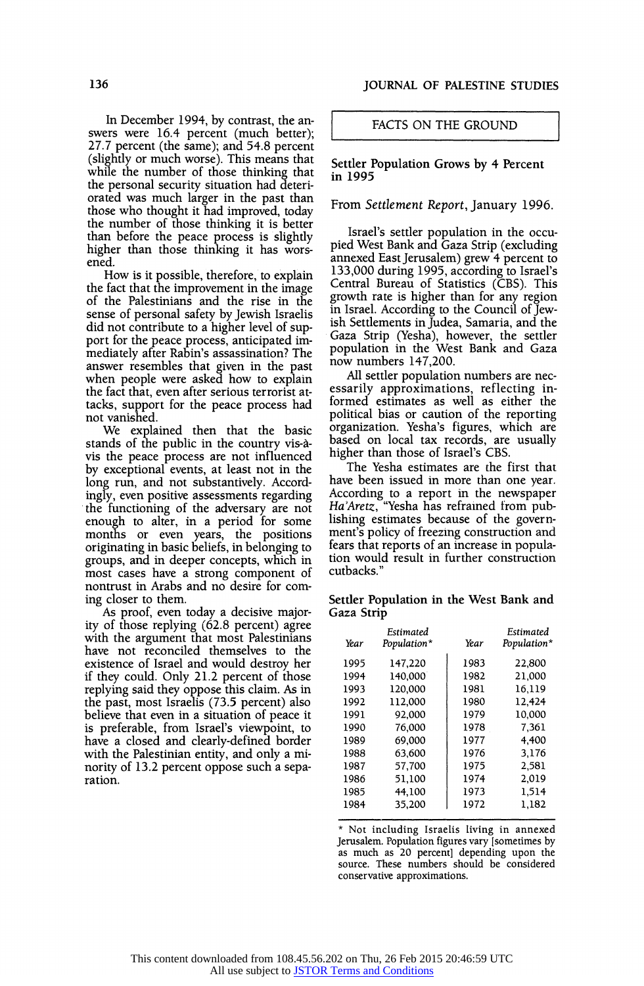In December 1994, by contrast, the answers were 16.4 percent (much better); 27.7 percent (the same); and 54.8 percent (slightly or much worse). This means that while the number of those thinking that the personal security situation had deteriorated was much larger in the past than those who thought it had improved, today the number of those thinking it is better than before the peace process is slightly higher than those thinking it has worsened.

How is it possible, therefore, to explain the fact that the improvement in the image of the Palestinians and the rise in the sense of personal safety by Jewish Israelis did not contribute to a higher level of support for the peace process, anticipated immediately after Rabin's assassination? The answer resembles that given in the past when people were asked how to explain the fact that, even after serious terrorist attacks, support for the peace process had not vanished.

We explained then that the basic stands of the public in the country vis-avis the peace process are not influenced by exceptional events, at least not in the long run, and not substantively. Accordingly, even positive assessments regarding the functioning of the adversary are not enough to alter, in a period for some months or even years, the positions originating in basic beliefs, in belonging to groups, and in deeper concepts, which in most cases have a strong component of nontrust in Arabs and no desire for coming closer to them.

As proof, even today a decisive majority of those replying (62.8 percent) agree with the argument that most Palestinians have not reconciled themselves to the existence of Israel and would destroy her if they could. Only 21.2 percent of those replying said they oppose this claim. As in the past, most Israelis (73.5 percent) also believe that even in a situation of peace it is preferable, from Israel's viewpoint, to have a closed and clearly-defined border with the Palestinian entity, and only a minority of 13.2 percent oppose such a separation.

# FACTS ON THE GROUND

#### Settler Population Grows by 4 Percent in 1995

# From Settlement Report, January 1996.

Israel's settler population in the occupied West Bank and Gaza Strip (excluding annexed EastJerusalem) grew 4 percent to 133,000 during 1995, according to Israel's Central Bureau of Statistics (CBS). This growth rate is higher than for any region in Israel. According to the Council of Jewish Settlements in Judea, Samaria, and the Gaza Strip (Yesha), however, the settler population in the West Bank and Gaza now numbers 147,200.

All settler population numbers are necessarily approximations, reflecting informed estimates as well as either the political bias or caution of the reporting organization. Yesha's figures, which are based on local tax records, are usually higher than those of Israel's CBS.

The Yesha estimates are the first that have been issued in more than one year. According to a report in the newspaper Ha'Aretz, "Yesha has refrained from publishing estimates because of the government's policy of freezing construction and fears that reports of an increase in population would result in further construction cutbacks."

Settler Population in the West Bank and Gaza Strip

| Year | <b>Fstimated</b><br>Population* | Year | Estimated<br>Population* |
|------|---------------------------------|------|--------------------------|
| 1995 | 147,220                         | 1983 | 22,800                   |
| 1994 | 140,000                         | 1982 | 21,000                   |
| 1993 | 120,000                         | 1981 | 16.119                   |
| 1992 | 112.000                         | 1980 | 12.424                   |
| 1991 | 92.000                          | 1979 | 10,000                   |
| 1990 | 76.000                          | 1978 | 7,361                    |
| 1989 | 69.000                          | 1977 | 4.400                    |
| 1988 | 63,600                          | 1976 | 3,176                    |
| 1987 | 57,700                          | 1975 | 2.581                    |
| 1986 | 51.100                          | 1974 | 2,019                    |
| 1985 | 44,100                          | 1973 | 1,514                    |
| 1984 | 35,200                          | 1972 | 1,182                    |

\* Not including Israelis living in annexed Jerusalem. Population figures vary [sometimes by as much as 20 percent] depending upon the source. These numbers should be considered conservative approximations.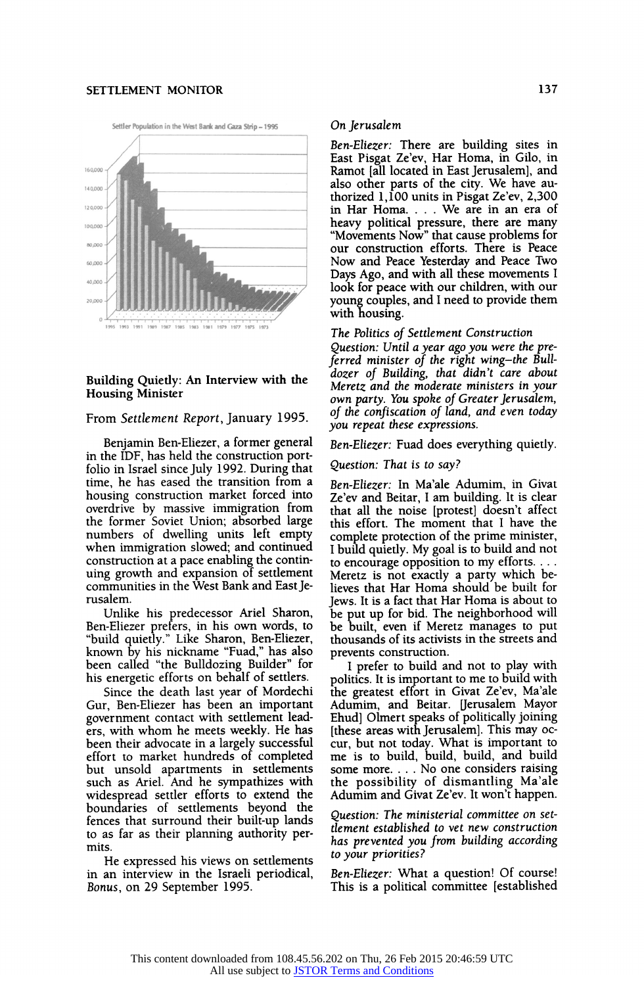# SETTLEMENT MONITOR 137



# Building Quietly: An Interview with the Housing Minister

# From Settlement Report, January 1995.

Benjamin Ben-Eliezer, a former general in the IDF, has held the construction portfolio in Israel since July 1992. During that time, he has eased the transition from a housing construction market forced into overdrive by massive immigration from the former Soviet Union; absorbed large numbers of dwelling units left empty when immigration slowed; and continued construction at a pace enabling the continuing growth and expansion of settlement communities in the West Bank and EastJerusalem.

Unlike his predecessor Ariel Sharon, Ben-Eliezer prefers, in his own words, to "build quietly." Like Sharon, Ben-Eliezer, known by his nickname "Fuad," has also been called "the Bulldozing Builder" for his energetic efforts on behalf of settlers.

Since the death last year of Mordechi Gur, Ben-Eliezer has been an important government contact with settlement leaders, with whom he meets weekly. He has been their advocate in a largely successful effort to market hundreds of completed but unsold apartments in settlements such as Ariel. And he sympathizes with widespread settler efforts to extend the boundaries of settlements beyond the fences that surround their built-up lands to as far as their planning authority permits.

He expressed his views on settlements in an interview in the Israeli periodical, Bonus, on 29 September 1995.

#### On Jerusalem

Ben-Eliezer: There are building sites in East Pisgat Ze'ev, Har Homa, in Gilo, in Ramot [all located in East Jerusalem], and also other parts of the city. We have authorized 1,100 units in Pisgat Ze'ev, 2,300 in Har Homa. . . . We are in an era of heavy political pressure, there are many "Movements Now" that cause problems for our construction efforts. There is Peace Now and Peace Yesterday and Peace Two Days Ago, and with all these movements I look for peace with our children, with our young couples, and I need to provide them with housing.

The Politics of Settlement Construction

Question: Until a year ago you were the preferred minister of the right wing-the Bulldozer of Building, that didn't care about Meretz and the moderate ministers in your own party. You spoke of Greater Jerusalem, of the confiscation of land, and even today you repeat these expressions.

Ben-Eliezer: Fuad does everything quietly.

Question: That is to say?

Ben-Eliezer: In Ma'ale Adumim, in Givat Ze'ev and Beitar, Iam building. It is clear that all the noise [protest] doesn't affect this effort. The moment that I have the complete protection of the prime minister, I build quietly. My goal is to build and not to encourage opposition to my efforts.... Meretz is not exactly a party which believes that Har Homa should be built for Jews. It is a fact that Har Homa is about to be put up for bid. The neighborhood will be built, even if Meretz manages to put thousands of its activists in the streets and prevents construction.

I prefer to build and not to play with politics. It is important to me to build with the greatest effort in Givat Ze'ev, Ma'ale Adumim, and Beitar. Uerusalem Mayor Ehud] Olmert speaks of politically joining [these areas with Jerusalem]. This may occur, but not today. What is important to me is to build, build, build, and build some more.... No one considers raising the possibility of dismantling Ma'ale Adumim and Givat Ze'ev. It won't happen.

Question: The ministerial committee on settlement established to vet new construction has prevented you from building according to your priorities?

Ben-Eliezer: What a question! Of course! This is a political committee [established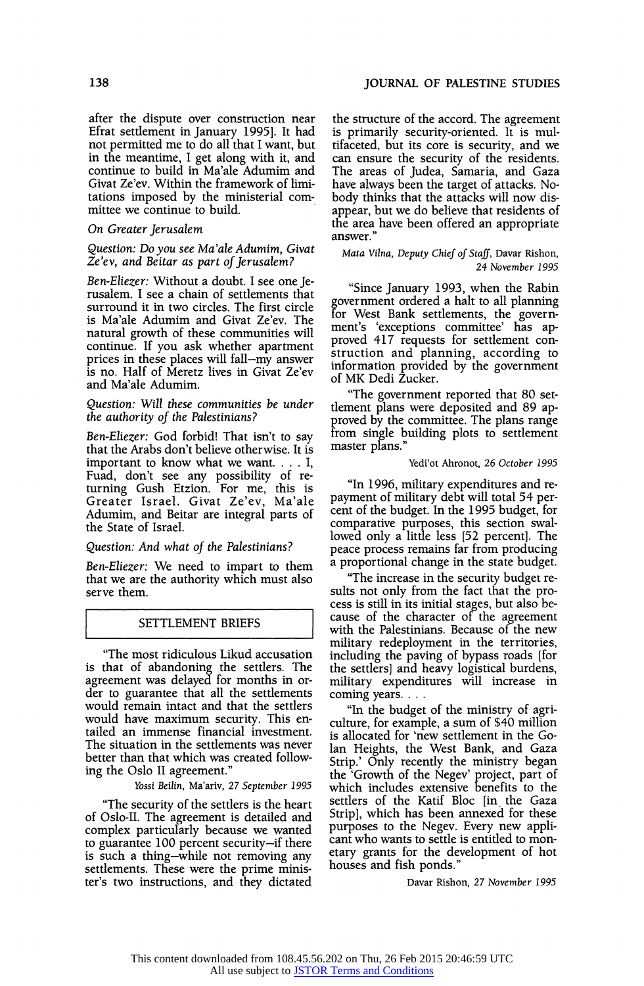after the dispute over construction near Efrat settlement in January 19951. It had not permitted me to do all that I want, but in the meantime, I get along with it, and continue to build in Ma'ale Adumim and Givat Ze'ev. Within the framework of limitations imposed by the ministerial committee we continue to build.

## On Greater Jerusalem

#### Question: Do you see Ma'ale Adumim, Givat Ze'ev, and Beitar as part of Jerusalem?

Ben-Eliezer: Without a doubt. I see one Jerusalem. I see a chain of settlements that surround it in two circles. The first circle is Ma'ale Adumim and Givat Ze'ev. The natural growth of these communities will continue. If you ask whether apartment prices in these places will fall-my answer is no. Half of Meretz lives in Givat Ze'ev and Ma'ale Adumim.

## Question: Will these communities be under the authority of the Palestinians?

Ben-Eliezer: God forbid! That isn't to say that the Arabs don't believe otherwise. It is important to know what we want....  $I$ , Fuad, don't see any possibility of returning Gush Etzion. For me, this is Greater Israel. Givat Ze'ev, Ma'ale Adumim, and Beitar are integral parts of the State of Israel.

# Question: And what of the Palestinians?

Ben-Eliezer: We need to impart to them that we are the authority which must also serve them.

# SETTLEMENT BRIEFS

"The most ridiculous Likud accusation is that of abandoning the settlers. The agreement was delayed for months in order to guarantee that all the settlements would remain intact and that the settlers would have maximum security. This entailed an immense financial investment. The situation in the settlements was never better than that which was created following the Oslo II agreement."

Yossi Beilin, Ma'ariv, 27 September 1995

"The security of the settlers is the heart of Oslo-Il. The agreement is detailed and complex particularly because we wanted to guarantee 100 percent security-if there is such a thing-while not removing any settlements. These were the prime minister's two instructions, and they dictated the structure of the accord. The agreement is primarily security-oriented. It is multifaceted, but its core is security, and we can ensure the security of the residents. The areas of Judea, Samaria, and Gaza have always been the target of attacks. Nobody thinks that the attacks will now disappear, but we do believe that residents of the area have been offered an appropriate answer."

Mata Vilna, Deputy Chief of Staff, Davar Rishon, 24 November 1995

"Since January 1993, when the Rabin government ordered a halt to all planning for West Bank settlements, the government's 'exceptions committee' has approved 417 requests for settlement construction and planning, according to information provided by the government of MK Dedi Zucker.

"The government reported that 80 settlement plans were deposited and 89 approved by the committee. The plans range from single building plots to settlement master plans."

#### Yedi'ot Ahronot, 26 October 1995

"In 1996, military expenditures and repayment of military debt will total 54 percent of the budget. In the 1995 budget, for comparative purposes, this section swallowed only a little less [52 percent]. The peace process remains far from producing a proportional change in the state budget.

"The increase in the security budget results not only from the fact that the process is still in its initial stages, but also because of the character of the agreement with the Palestinians. Because of the new military redeployment in the territories, including the paving of bypass roads [for the settlers] and heavy logistical burdens, military expenditures will increase in coming years...

"In the budget of the ministry of agriculture, for example, a sum of \$40 million is allocated for 'new settlement in the Golan Heights, the West Bank, and Gaza Strip.' Only recently the ministry began the 'Growth of the Negev' project, part of which includes extensive benefits to the settlers of the Katif Bloc [in the Gaza Strip], which has been annexed for these purposes to the Negev. Every new applicant who wants to settle is entitled to monetary grants for the development of hot houses and fish ponds."

Davar Rishon, 27 November 1995